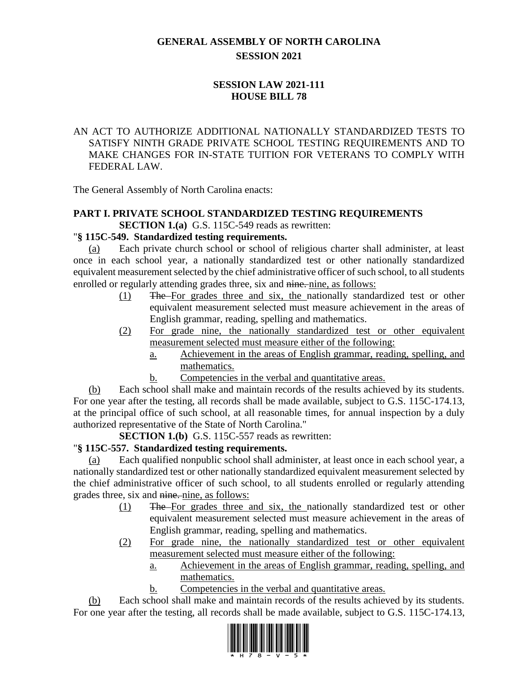# **GENERAL ASSEMBLY OF NORTH CAROLINA SESSION 2021**

# **SESSION LAW 2021-111 HOUSE BILL 78**

# AN ACT TO AUTHORIZE ADDITIONAL NATIONALLY STANDARDIZED TESTS TO SATISFY NINTH GRADE PRIVATE SCHOOL TESTING REQUIREMENTS AND TO MAKE CHANGES FOR IN-STATE TUITION FOR VETERANS TO COMPLY WITH FEDERAL LAW.

The General Assembly of North Carolina enacts:

#### **PART I. PRIVATE SCHOOL STANDARDIZED TESTING REQUIREMENTS SECTION 1.(a)** G.S. 115C-549 reads as rewritten:

# "**§ 115C-549. Standardized testing requirements.**

(a) Each private church school or school of religious charter shall administer, at least once in each school year, a nationally standardized test or other nationally standardized equivalent measurement selected by the chief administrative officer of such school, to all students enrolled or regularly attending grades three, six and nine, nine, as follows:

- (1) The For grades three and six, the nationally standardized test or other equivalent measurement selected must measure achievement in the areas of English grammar, reading, spelling and mathematics.
- (2) For grade nine, the nationally standardized test or other equivalent measurement selected must measure either of the following:
	- a. Achievement in the areas of English grammar, reading, spelling, and mathematics.
	- b. Competencies in the verbal and quantitative areas.

(b) Each school shall make and maintain records of the results achieved by its students. For one year after the testing, all records shall be made available, subject to G.S. 115C-174.13, at the principal office of such school, at all reasonable times, for annual inspection by a duly authorized representative of the State of North Carolina."

**SECTION 1.(b)** G.S. 115C-557 reads as rewritten:

## "**§ 115C-557. Standardized testing requirements.**

(a) Each qualified nonpublic school shall administer, at least once in each school year, a nationally standardized test or other nationally standardized equivalent measurement selected by the chief administrative officer of such school, to all students enrolled or regularly attending grades three, six and nine. nine, as follows:

- (1) The For grades three and six, the nationally standardized test or other equivalent measurement selected must measure achievement in the areas of English grammar, reading, spelling and mathematics.
- (2) For grade nine, the nationally standardized test or other equivalent measurement selected must measure either of the following:
	- a. Achievement in the areas of English grammar, reading, spelling, and mathematics.
	- b. Competencies in the verbal and quantitative areas.

(b) Each school shall make and maintain records of the results achieved by its students. For one year after the testing, all records shall be made available, subject to G.S. 115C-174.13,

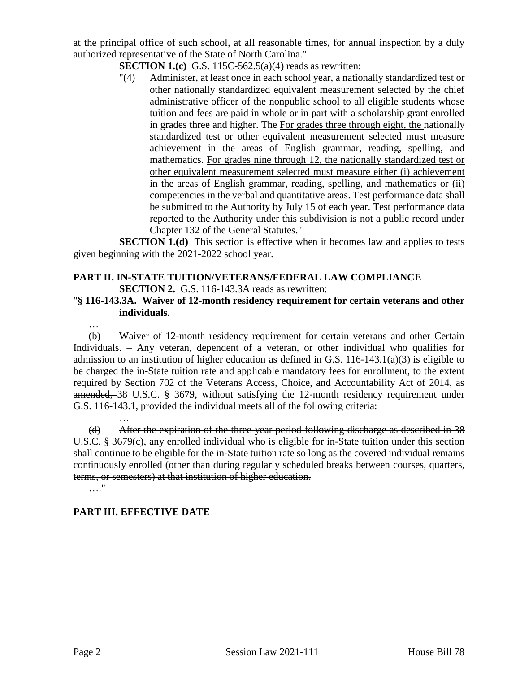at the principal office of such school, at all reasonable times, for annual inspection by a duly authorized representative of the State of North Carolina."

- **SECTION 1.(c)** G.S. 115C-562.5(a)(4) reads as rewritten:
- "(4) Administer, at least once in each school year, a nationally standardized test or other nationally standardized equivalent measurement selected by the chief administrative officer of the nonpublic school to all eligible students whose tuition and fees are paid in whole or in part with a scholarship grant enrolled in grades three and higher. The For grades three through eight, the nationally standardized test or other equivalent measurement selected must measure achievement in the areas of English grammar, reading, spelling, and mathematics. For grades nine through 12, the nationally standardized test or other equivalent measurement selected must measure either (i) achievement in the areas of English grammar, reading, spelling, and mathematics or (ii) competencies in the verbal and quantitative areas. Test performance data shall be submitted to the Authority by July 15 of each year. Test performance data reported to the Authority under this subdivision is not a public record under Chapter 132 of the General Statutes."

**SECTION 1.(d)** This section is effective when it becomes law and applies to tests given beginning with the 2021-2022 school year.

#### **PART II. IN-STATE TUITION/VETERANS/FEDERAL LAW COMPLIANCE SECTION 2.** G.S. 116-143.3A reads as rewritten:

#### "**§ 116-143.3A. Waiver of 12-month residency requirement for certain veterans and other individuals.**

…

(b) Waiver of 12-month residency requirement for certain veterans and other Certain Individuals. – Any veteran, dependent of a veteran, or other individual who qualifies for admission to an institution of higher education as defined in G.S. 116-143.1(a)(3) is eligible to be charged the in-State tuition rate and applicable mandatory fees for enrollment, to the extent required by Section 702 of the Veterans Access, Choice, and Accountability Act of 2014, as amended, 38 U.S.C. § 3679, without satisfying the 12-month residency requirement under G.S. 116-143.1, provided the individual meets all of the following criteria:

… (d) After the expiration of the three-year period following discharge as described in 38 U.S.C. § 3679(c), any enrolled individual who is eligible for in-State tuition under this section shall continue to be eligible for the in-State tuition rate so long as the covered individual remains continuously enrolled (other than during regularly scheduled breaks between courses, quarters, terms, or semesters) at that institution of higher education. …."

## **PART III. EFFECTIVE DATE**